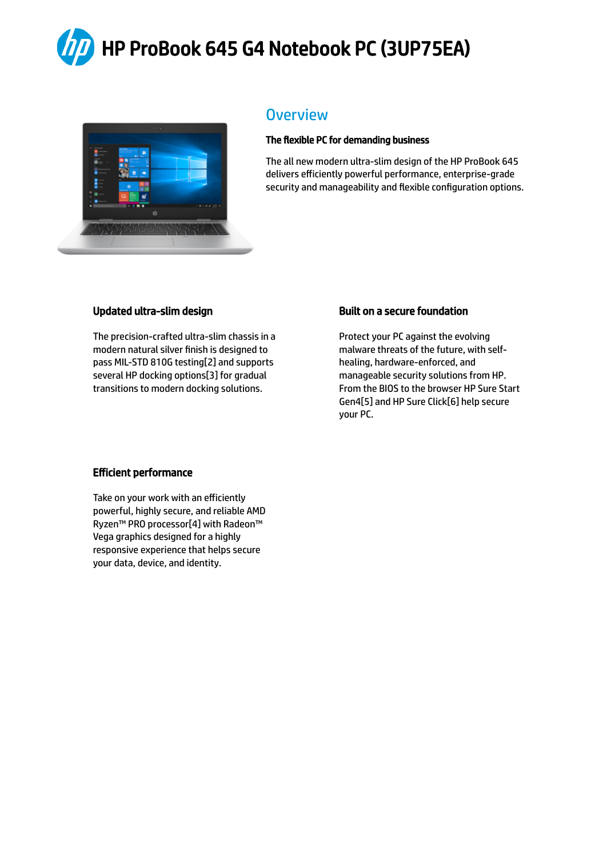HP ProBook 645 G4 Notebook PC (3UP75EA)



#### **Overview**

#### The flexible PC for demanding business

The all new modern ultra-slim design of the HP ProBook 645 delivers efficiently powerful performance, enterprise-grade security and manageability and flexible configuration options.

#### Updated ultra-slim design

The precision-crafted ultra-slim chassis in a modern natural silver finish is designed to pass MIL-STD 810G testing[2] and supports several HP docking options[3] for gradual transitions to modern docking solutions.

#### Built on a secure foundation

Protect your PC against the evolving malware threats of the future, with selfhealing, hardware-enforced, and manageable security solutions from HP. From the BIOS to the browser HP Sure Start Gen4[5] and HP Sure Click[6] help secure your PC.

#### Efficient performance

Take on your work with an efficiently powerful, highly secure, and reliable AMD Ryzen™ PRO processor[4] with Radeon™ Vega graphics designed for a highly responsive experience that helps secure your data, device, and identity.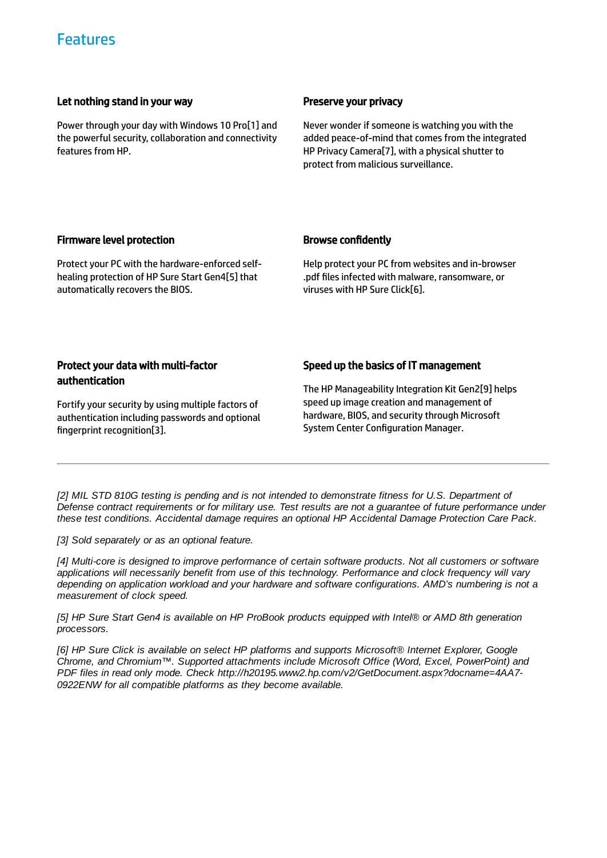#### Let nothing stand in your way

Power through your day with Windows 10 Pro[1] and the powerful security, collaboration and connectivity features from HP.

#### Preserve your privacy

Never wonder if someone is watching you with the added peace-of-mind that comes from the integrated HP Privacy Camera[7], with a physical shutter to protect from malicious surveillance.

#### Firmware level protection

Protect your PC with the hardware-enforced selfhealing protection of HP Sure Start Gen4[5] that automatically recovers the BIOS.

#### **Browse confidently**

Help protect your PC from websites and in-browser .pdf files infected with malware, ransomware, or viruses with HP Sure Click[6].

#### Protect your data with multi-factor authentication

Fortify your security by using multiple factors of authentication including passwords and optional fingerprint recognition[3].

#### Speed up the basics of IT management

The HP Manageability Integration Kit Gen2[9] helps speed up image creation and management of hardware, BIOS, and security through Microsoft System Center Configuration Manager.

[2] MIL STD 810G testing is pending and is not intended to demonstrate fitness for U.S. Department of Defense contract requirements or for military use. Test results are not a guarantee of future performance under *these test conditions. Accidental damage requires an optional HP Accidental Damage Protection Care Pack.*

*[3] Sold separately or as an optional feature.*

*[4] Multi-core is designed to improve performance of certain software products. Not all customers or software applications will necessarily benefit from use of this technology. Performance and clock frequency will vary depending on application workload and your hardware and software configurations. AMD's numbering is not a measurement of clock speed.*

[5] HP Sure Start Gen4 is available on HP ProBook products equipped with Intel® or AMD 8th generation *processors.*

*[6] HP Sure Click is available on select HP platforms and supports Microsoft® Internet Explorer, Google Chrome, and Chromium™. Supported attachments include Microsoft Office (Word, Excel, PowerPoint) and PDF files in read only mode. Check http://h20195.www2.hp.com/v2/GetDocument.aspx?docname=4AA7- 0922ENW for all compatible platforms as they become available.*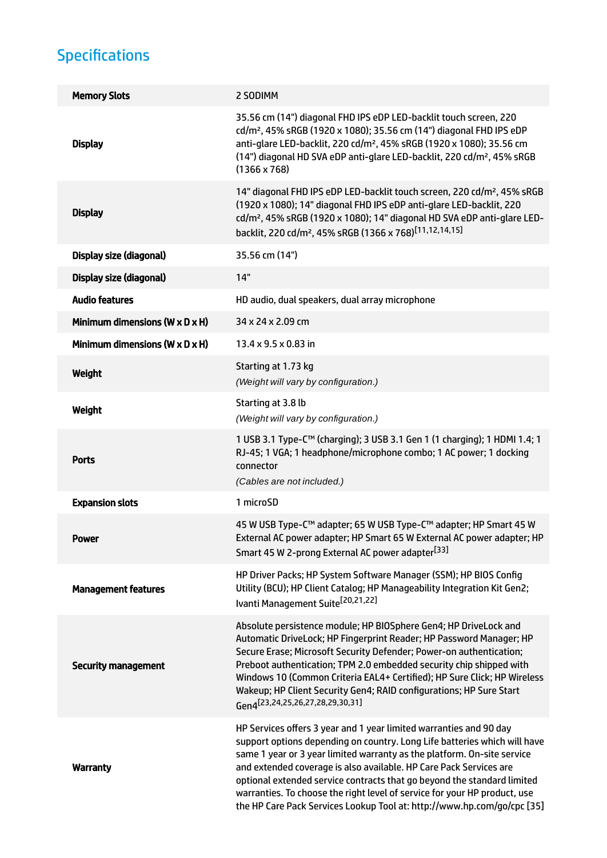# Specifications

| <b>Memory Slots</b>                          | 2 SODIMM                                                                                                                                                                                                                                                                                                                                                                                                                                                                                                                            |
|----------------------------------------------|-------------------------------------------------------------------------------------------------------------------------------------------------------------------------------------------------------------------------------------------------------------------------------------------------------------------------------------------------------------------------------------------------------------------------------------------------------------------------------------------------------------------------------------|
| <b>Display</b>                               | 35.56 cm (14") diagonal FHD IPS eDP LED-backlit touch screen, 220<br>cd/m <sup>2</sup> , 45% sRGB (1920 x 1080); 35.56 cm (14") diagonal FHD IPS eDP<br>anti-glare LED-backlit, 220 cd/m <sup>2</sup> , 45% sRGB (1920 x 1080); 35.56 cm<br>(14") diagonal HD SVA eDP anti-glare LED-backlit, 220 cd/m <sup>2</sup> , 45% sRGB<br>$(1366 \times 768)$                                                                                                                                                                               |
| <b>Display</b>                               | 14" diagonal FHD IPS eDP LED-backlit touch screen, 220 cd/m <sup>2</sup> , 45% sRGB<br>(1920 x 1080); 14" diagonal FHD IPS eDP anti-glare LED-backlit, 220<br>cd/m <sup>2</sup> , 45% sRGB (1920 x 1080); 14" diagonal HD SVA eDP anti-glare LED-<br>backlit, 220 cd/m <sup>2</sup> , 45% sRGB (1366 x 768) <sup>[11,12,14,15]</sup>                                                                                                                                                                                                |
| Display size (diagonal)                      | 35.56 cm (14")                                                                                                                                                                                                                                                                                                                                                                                                                                                                                                                      |
| Display size (diagonal)                      | 14"                                                                                                                                                                                                                                                                                                                                                                                                                                                                                                                                 |
| <b>Audio features</b>                        | HD audio, dual speakers, dual array microphone                                                                                                                                                                                                                                                                                                                                                                                                                                                                                      |
| Minimum dimensions ( $W \times D \times H$ ) | 34 x 24 x 2.09 cm                                                                                                                                                                                                                                                                                                                                                                                                                                                                                                                   |
| Minimum dimensions ( $W \times D \times H$ ) | 13.4 x 9.5 x 0.83 in                                                                                                                                                                                                                                                                                                                                                                                                                                                                                                                |
| Weight                                       | Starting at 1.73 kg<br>(Weight will vary by configuration.)                                                                                                                                                                                                                                                                                                                                                                                                                                                                         |
| Weight                                       | Starting at 3.8 lb<br>(Weight will vary by configuration.)                                                                                                                                                                                                                                                                                                                                                                                                                                                                          |
| <b>Ports</b>                                 | 1 USB 3.1 Type-C™ (charging); 3 USB 3.1 Gen 1 (1 charging); 1 HDMI 1.4; 1<br>RJ-45; 1 VGA; 1 headphone/microphone combo; 1 AC power; 1 docking<br>connector<br>(Cables are not included.)                                                                                                                                                                                                                                                                                                                                           |
| <b>Expansion slots</b>                       | 1 microSD                                                                                                                                                                                                                                                                                                                                                                                                                                                                                                                           |
| Power                                        | 45 W USB Type-C™ adapter; 65 W USB Type-C™ adapter; HP Smart 45 W<br>External AC power adapter; HP Smart 65 W External AC power adapter; HP<br>Smart 45 W 2-prong External AC power adapter <sup>[33]</sup>                                                                                                                                                                                                                                                                                                                         |
| <b>Management features</b>                   | HP Driver Packs; HP System Software Manager (SSM); HP BIOS Config<br>Utility (BCU); HP Client Catalog; HP Manageability Integration Kit Gen2;<br>Ivanti Management Suite <sup>[20,21,22]</sup>                                                                                                                                                                                                                                                                                                                                      |
| <b>Security management</b>                   | Absolute persistence module; HP BIOSphere Gen4; HP DriveLock and<br>Automatic DriveLock; HP Fingerprint Reader; HP Password Manager; HP<br>Secure Erase; Microsoft Security Defender; Power-on authentication;<br>Preboot authentication; TPM 2.0 embedded security chip shipped with<br>Windows 10 (Common Criteria EAL4+ Certified); HP Sure Click; HP Wireless<br>Wakeup; HP Client Security Gen4; RAID configurations; HP Sure Start<br>Gen4 <sup>[23,24,25,26,27,28,29,30,31]</sup>                                            |
| <b>Warranty</b>                              | HP Services offers 3 year and 1 year limited warranties and 90 day<br>support options depending on country. Long Life batteries which will have<br>same 1 year or 3 year limited warranty as the platform. On-site service<br>and extended coverage is also available. HP Care Pack Services are<br>optional extended service contracts that go beyond the standard limited<br>warranties. To choose the right level of service for your HP product, use<br>the HP Care Pack Services Lookup Tool at: http://www.hp.com/go/cpc [35] |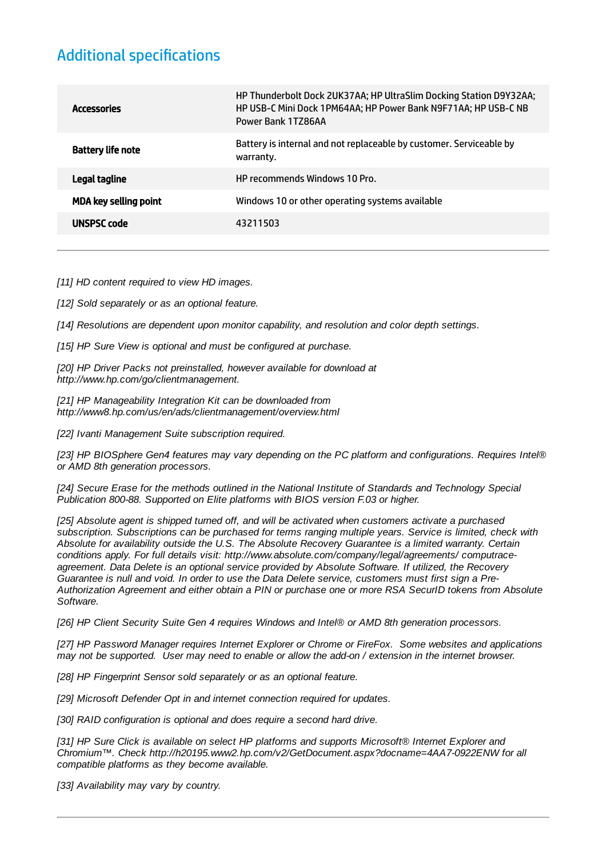### **Additional specifications**

| Accessories                  | HP Thunderbolt Dock 2UK37AA; HP UltraSlim Docking Station D9Y32AA;<br>HP USB-C Mini Dock 1PM64AA; HP Power Bank N9F71AA; HP USB-C NB<br>Power Bank 1TZ86AA |
|------------------------------|------------------------------------------------------------------------------------------------------------------------------------------------------------|
| Battery life note            | Battery is internal and not replaceable by customer. Serviceable by<br>warranty.                                                                           |
| Legal tagline                | HP recommends Windows 10 Pro.                                                                                                                              |
| <b>MDA key selling point</b> | Windows 10 or other operating systems available                                                                                                            |
| UNSPSC code                  | 43211503                                                                                                                                                   |
|                              |                                                                                                                                                            |

*[11] HD content required to view HD images.*

*[12] Sold separately or as an optional feature.*

*[14] Resolutions are dependent upon monitor capability, and resolution and color depth settings.*

*[15] HP Sure View is optional and must be configured at purchase.*

*[20] HP Driver Packs not preinstalled, however available for download at http://www.hp.com/go/clientmanagement.*

*[21] HP Manageability Integration Kit can be downloaded from http://www8.hp.com/us/en/ads/clientmanagement/overview.html*

*[22] Ivanti Management Suite subscription required.*

*[23] HP BIOSphere Gen4 features may vary depending on the PC platform and configurations. Requires Intel® or AMD 8th generation processors.*

*[24] Secure Erase for the methods outlined in the National Institute of Standards and Technology Special Publication 800-88. Supported on Elite platforms with BIOS version F.03 or higher.*

*[25] Absolute agent is shipped turned off, and will be activated when customers activate a purchased subscription. Subscriptions can be purchased for terms ranging multiple years. Service is limited, check with Absolute for availability outside the U.S. The Absolute Recovery Guarantee is a limited warranty. Certain conditions apply. For full details visit: http://www.absolute.com/company/legal/agreements/ computraceagreement. Data Delete is an optional service provided by Absolute Software. If utilized, the Recovery* Guarantee is null and void. In order to use the Data Delete service, customers must first sign a Pre-*Authorization Agreement and either obtain a PIN or purchase one or more RSA SecurID tokens from Absolute Software.*

*[26] HP Client Security Suite Gen 4 requires Windows and Intel® or AMD 8th generation processors.*

*[27] HP Password Manager requires Internet Explorer or Chrome or FireFox. Some websites and applications* may not be supported. User may need to enable or allow the add-on / extension in the internet browser.

*[28] HP Fingerprint Sensor sold separately or as an optional feature.*

*[29] Microsoft Defender Opt in and internet connection required for updates.*

*[30] RAID configuration is optional and does require a second hard drive.*

*[31] HP Sure Click is available on select HP platforms and supports Microsoft® Internet Explorer and Chromium™. Check http://h20195.www2.hp.com/v2/GetDocument.aspx?docname=4AA7-0922ENW for all compatible platforms as they become available.*

*[33] Availability may vary by country.*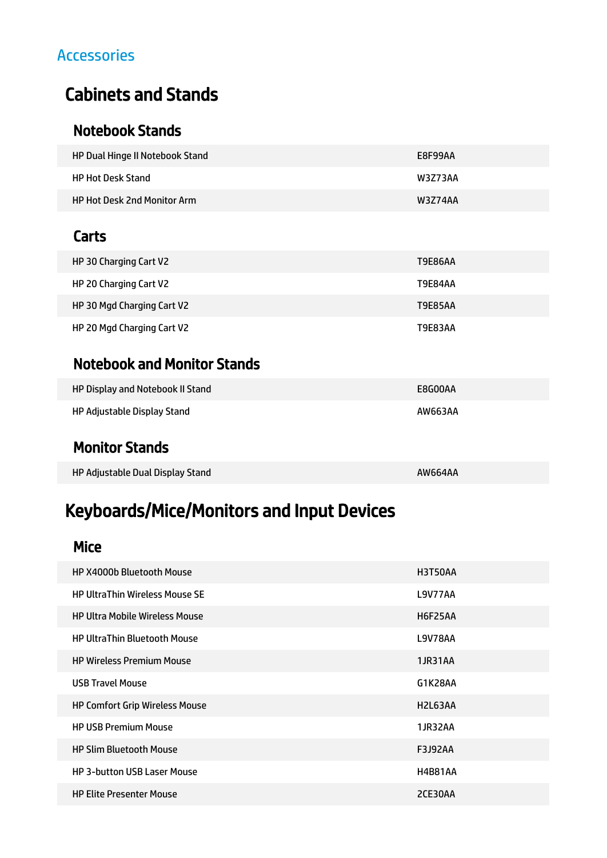### Accessories

# Cabinets and Stands

### Notebook Stands

| HP Dual Hinge II Notebook Stand    | E8F99AA |
|------------------------------------|---------|
| HP Hot Desk Stand                  | W3Z73AA |
| <b>HP Hot Desk 2nd Monitor Arm</b> | W3Z74AA |

### **Carts**

| HP 30 Charging Cart V2     | <b>T9E86AA</b> |
|----------------------------|----------------|
| HP 20 Charging Cart V2     | T9E84AA        |
| HP 30 Mgd Charging Cart V2 | <b>T9E85AA</b> |
| HP 20 Mgd Charging Cart V2 | <b>T9E83AA</b> |

### Notebook and Monitor Stands

| HP Display and Notebook II Stand | E8G00AA |
|----------------------------------|---------|
| HP Adjustable Display Stand      | AW663AA |

### Monitor Stands

HP Adjustable Dual Display Stand AW664AA

# Keyboards/Mice/Monitors and Input Devices

#### Mice

| <b>HP X4000b Bluetooth Mouse</b>      | H3T50AA                           |
|---------------------------------------|-----------------------------------|
| <b>HP UltraThin Wireless Mouse SE</b> | <b>L9V77AA</b>                    |
| <b>HP Ultra Mobile Wireless Mouse</b> | <b>H6F25AA</b>                    |
| <b>HP UltraThin Bluetooth Mouse</b>   | L9V78AA                           |
| <b>HP Wireless Premium Mouse</b>      | 1JR31AA                           |
| <b>USB Travel Mouse</b>               | G1K28AA                           |
| HP Comfort Grip Wireless Mouse        | H <sub>2</sub> L <sub>63</sub> AA |
| <b>HP USB Premium Mouse</b>           | 1JR32AA                           |
| <b>HP Slim Bluetooth Mouse</b>        | <b>F3J92AA</b>                    |
| <b>HP 3-button USB Laser Mouse</b>    | <b>H4B81AA</b>                    |
| <b>HP Elite Presenter Mouse</b>       | 2CE30AA                           |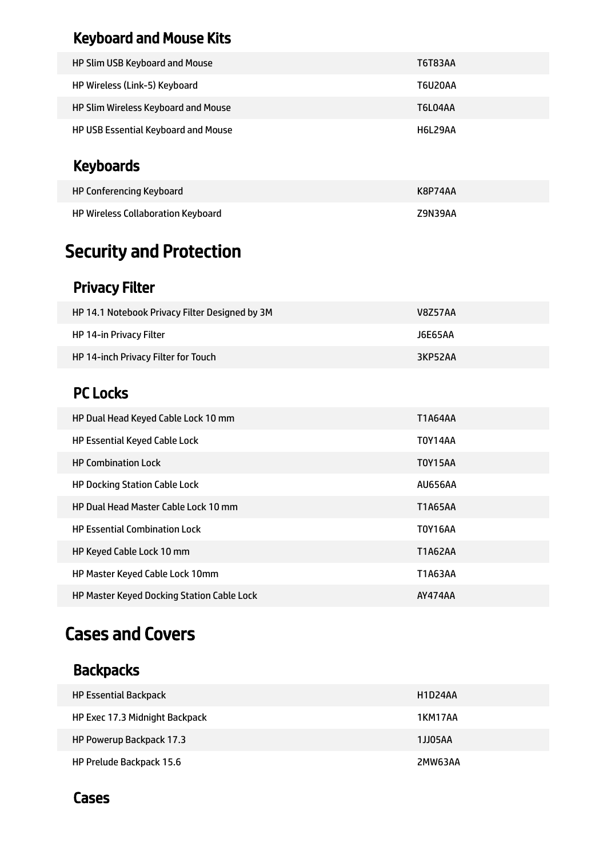## Keyboard and Mouse Kits

| HP Slim USB Keyboard and Mouse      | T6T83AA |
|-------------------------------------|---------|
| HP Wireless (Link-5) Keyboard       | T6U20AA |
| HP Slim Wireless Keyboard and Mouse | T6L04AA |
| HP USB Essential Keyboard and Mouse | H6L29AA |

# Keyboards

| HP Conferencing Keyboard           | K8P74AA |
|------------------------------------|---------|
| HP Wireless Collaboration Keyboard | Z9N39AA |

# Security and Protection

## Privacy Filter

| HP 14.1 Notebook Privacy Filter Designed by 3M | V8Z57AA |
|------------------------------------------------|---------|
| <b>HP 14-in Privacy Filter</b>                 | J6E65AA |
| HP 14-inch Privacy Filter for Touch            | 3KP52AA |

## PC Locks

| HP Dual Head Keyed Cable Lock 10 mm         | T1A64AA        |
|---------------------------------------------|----------------|
| <b>HP Essential Keyed Cable Lock</b>        | T0Y14AA        |
| <b>HP Combination Lock</b>                  | <b>T0Y15AA</b> |
| <b>HP Docking Station Cable Lock</b>        | <b>AU656AA</b> |
| <b>HP Dual Head Master Cable Lock 10 mm</b> | <b>T1A65AA</b> |
| <b>HP Essential Combination Lock</b>        | <b>T0Y16AA</b> |
| HP Keyed Cable Lock 10 mm                   | <b>T1A62AA</b> |
| HP Master Keyed Cable Lock 10mm             | T1A63AA        |
| HP Master Keyed Docking Station Cable Lock  | AY474AA        |

# Cases and Covers

## **Backpacks**

| <b>HP Essential Backpack</b>   | H1D24AA |
|--------------------------------|---------|
| HP Exec 17.3 Midnight Backpack | 1KM17AA |
| HP Powerup Backpack 17.3       | 1JJ05AA |
| HP Prelude Backpack 15.6       | 2MW63AA |

### Cases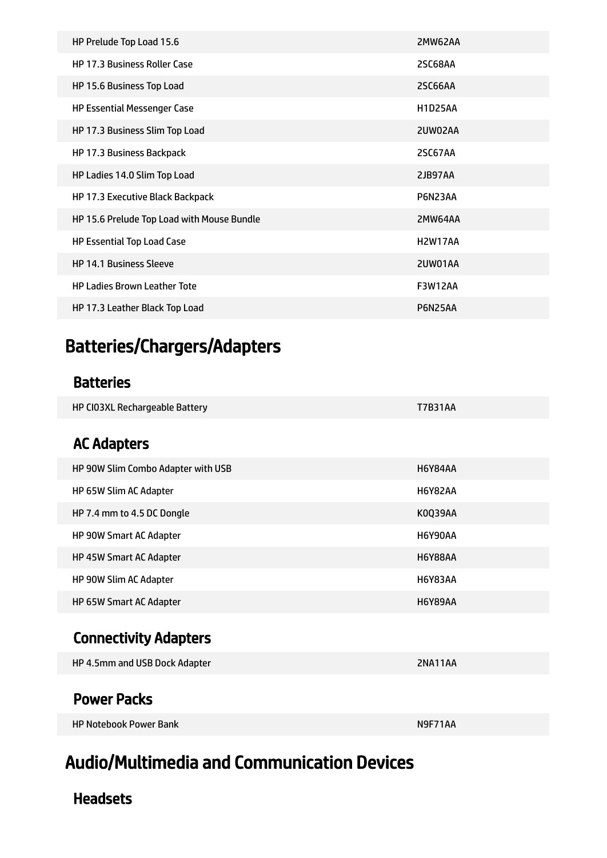| HP Prelude Top Load 15.6                   | 2MW62AA                           |
|--------------------------------------------|-----------------------------------|
| <b>HP 17.3 Business Roller Case</b>        | <b>2SC68AA</b>                    |
| HP 15.6 Business Top Load                  | <b>2SC66AA</b>                    |
| <b>HP Essential Messenger Case</b>         | <b>H1D25AA</b>                    |
| HP 17.3 Business Slim Top Load             | 2UW02AA                           |
| HP 17.3 Business Backpack                  | 2SC67AA                           |
| HP Ladies 14.0 Slim Top Load               | 2JB97AA                           |
| HP 17.3 Executive Black Backpack           | P6N23AA                           |
| HP 15.6 Prelude Top Load with Mouse Bundle | 2MW64AA                           |
| <b>HP Essential Top Load Case</b>          | H <sub>2</sub> W <sub>17</sub> AA |
| <b>HP 14.1 Business Sleeve</b>             | 2UW01AA                           |
| <b>HP Ladies Brown Leather Tote</b>        | <b>F3W12AA</b>                    |
| HP 17.3 Leather Black Top Load             | P6N25AA                           |

# Batteries/Chargers/Adapters

### Batteries

| HP CI03XL Rechargeable Battery | <b>T7B31AA</b> |
|--------------------------------|----------------|
|                                |                |

### AC Adapters

| HP 90W Slim Combo Adapter with USB | H6Y84AA        |
|------------------------------------|----------------|
| HP 65W Slim AC Adapter             | H6Y82AA        |
| HP 7.4 mm to 4.5 DC Dongle         | K0039AA        |
| <b>HP 90W Smart AC Adapter</b>     | H6Y90AA        |
| <b>HP 45W Smart AC Adapter</b>     | H6Y88AA        |
| HP 90W Slim AC Adapter             | <b>H6Y83AA</b> |
| HP 65W Smart AC Adapter            | H6Y89AA        |

## Connectivity Adapters

| HP 4.5mm and USB Dock Adapter | 2NA11AA |
|-------------------------------|---------|
|                               |         |

### Power Packs

HP Notebook Power Bank N9F71AA

# Audio/Multimedia and Communication Devices

### **Headsets**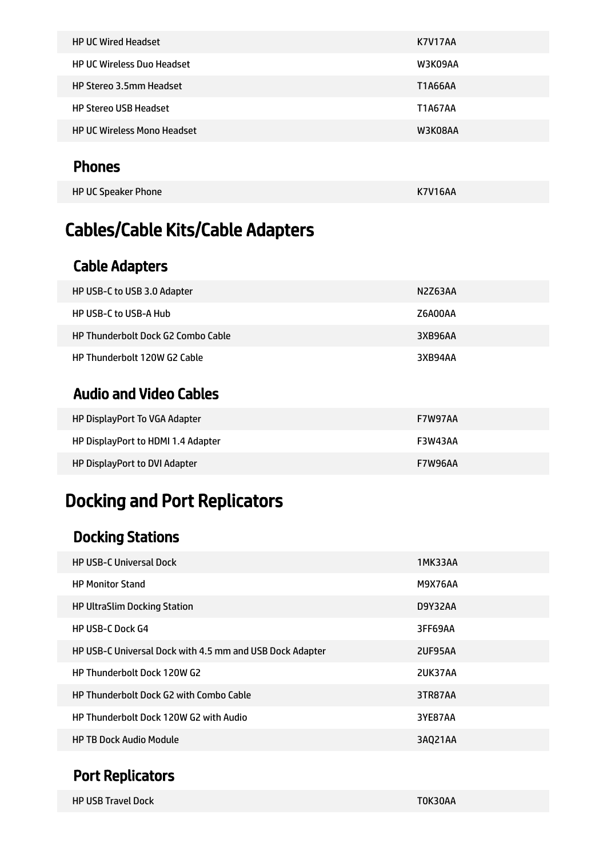| <b>HP UC Wired Headset</b>         | <b>K7V17AA</b> |
|------------------------------------|----------------|
| <b>HP UC Wireless Duo Headset</b>  | W3K09AA        |
| <b>HP Stereo 3.5mm Headset</b>     | T1A66AA        |
| <b>HP Stereo USB Headset</b>       | <b>T1A67AA</b> |
| <b>HP UC Wireless Mono Headset</b> | W3K08AA        |
|                                    |                |

### Phones

| HP UC Speaker Phone | <b>K7V16AA</b> |
|---------------------|----------------|
|                     |                |

# Cables/Cable Kits/Cable Adapters

## Cable Adapters

| HP Thunderbolt 120W G2 Cable              | 3XB94AA |
|-------------------------------------------|---------|
| <b>HP Thunderbolt Dock G2 Combo Cable</b> | 3XB96AA |
| <b>HP USB-C to USB-A Hub</b>              | Z6A00AA |
| HP USB-C to USB 3.0 Adapter               | N2Z63AA |

### Audio and Video Cables

| HP DisplayPort To VGA Adapter      | <b>F7W97AA</b> |
|------------------------------------|----------------|
| HP DisplayPort to HDMI 1.4 Adapter | F3W43AA        |
| HP DisplayPort to DVI Adapter      | <b>F7W96AA</b> |

# Docking and Port Replicators

## Docking Stations

| <b>HP USB-C Universal Dock</b>                           | 1MK33AA |
|----------------------------------------------------------|---------|
| <b>HP Monitor Stand</b>                                  | M9X76AA |
| <b>HP UltraSlim Docking Station</b>                      | D9Y32AA |
| <b>HP USB-C Dock G4</b>                                  | 3FF69AA |
| HP USB-C Universal Dock with 4.5 mm and USB Dock Adapter | 2UF95AA |
| HP Thunderbolt Dock 120W G2                              | 2UK37AA |
| <b>HP Thunderbolt Dock G2 with Combo Cable</b>           | 3TR87AA |
| HP Thunderbolt Dock 120W G2 with Audio                   | 3YE87AA |
| <b>HP TB Dock Audio Module</b>                           | 3AQ21AA |

## Port Replicators

| <b>HP USB Travel Dock</b> | T0K30AA |  |
|---------------------------|---------|--|
|                           |         |  |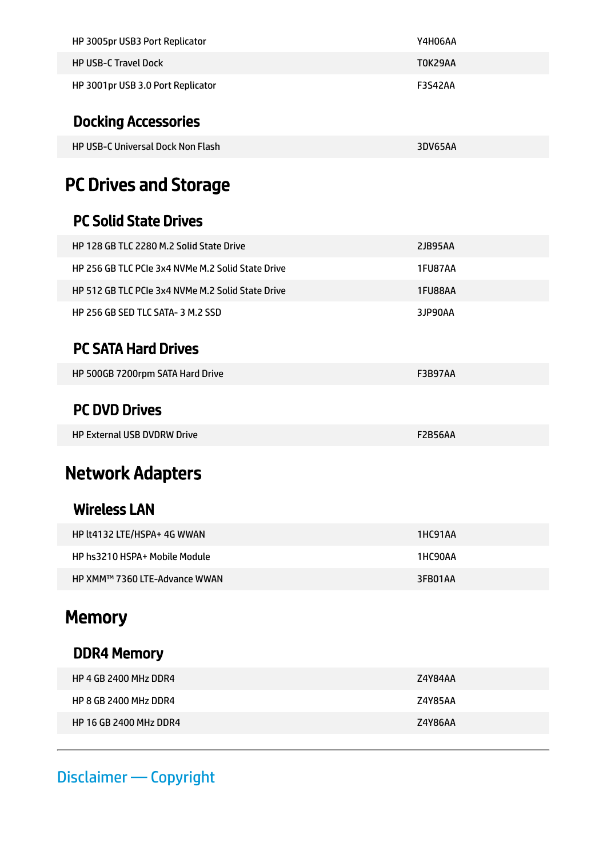| HP 3005pr USB3 Port Replicator    | Y4H06AA |
|-----------------------------------|---------|
| <b>HP USB-C Travel Dock</b>       | TOK29AA |
| HP 3001pr USB 3.0 Port Replicator | F3S42AA |

## Docking Accessories

| <b>HP USB-C Universal Dock Non Flash</b> | 3DV65AA |
|------------------------------------------|---------|
|------------------------------------------|---------|

# PC Drives and Storage

### PC Solid State Drives

| HP 128 GB TLC 2280 M.2 Solid State Drive          | 2JB95AA |
|---------------------------------------------------|---------|
| HP 256 GB TLC PCIe 3x4 NVMe M.2 Solid State Drive | 1FU87AA |
| HP 512 GB TLC PCIe 3x4 NVMe M.2 Solid State Drive | 1FU88AA |
| HP 256 GB SED TLC SATA- 3 M.2 SSD                 | 3JP90AA |

### PC SATA Hard Drives

| HP 500GB 7200rpm SATA Hard Drive<br>F3B97AA |
|---------------------------------------------|
|---------------------------------------------|

### PC DVD Drives

HP External USB DVDRW Drive F2B56AA

# Network Adapters

### Wireless LAN

| HP lt4132 LTE/HSPA+ 4G WWAN   | 1HC91AA |
|-------------------------------|---------|
| HP hs3210 HSPA+ Mobile Module | 1HC90AA |
| HP XMM™ 7360 LTE-Advance WWAN | 3FB01AA |

# **Memory**

### DDR4 Memory

| HP 4 GB 2400 MHz DDR4         | Z4Y84AA |
|-------------------------------|---------|
| HP 8 GB 2400 MHz DDR4         | Z4Y85AA |
| <b>HP 16 GB 2400 MHz DDR4</b> | Z4Y86AA |

## Disclaimer — Copyright